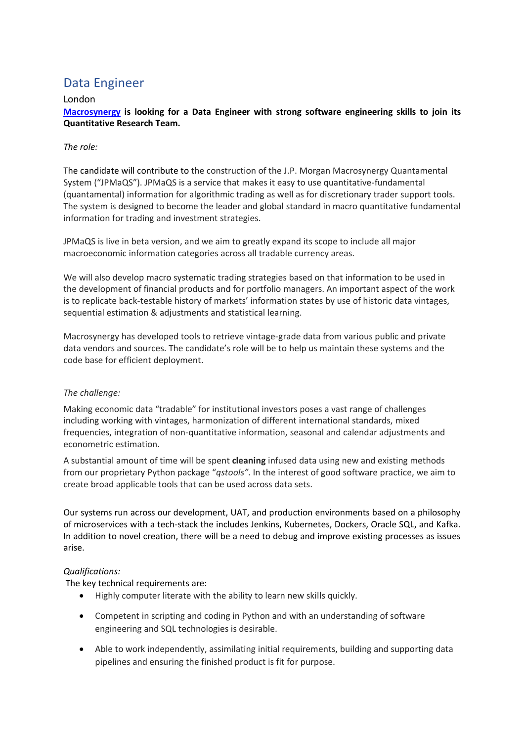# Data Engineer

### London

**[Macrosynergy](https://www.macrosynergy.com/) is looking for a Data Engineer with strong software engineering skills to join its Quantitative Research Team.**

### *The role:*

The candidate will contribute to the construction of the J.P. Morgan Macrosynergy Quantamental System ("JPMaQS"). JPMaQS is a service that makes it easy to use quantitative-fundamental (quantamental) information for algorithmic trading as well as for discretionary trader support tools. The system is designed to become the leader and global standard in macro quantitative fundamental information for trading and investment strategies.

JPMaQS is live in beta version, and we aim to greatly expand its scope to include all major macroeconomic information categories across all tradable currency areas.

We will also develop macro systematic trading strategies based on that information to be used in the development of financial products and for portfolio managers. An important aspect of the work is to replicate back-testable history of markets' information states by use of historic data vintages, sequential estimation & adjustments and statistical learning.

Macrosynergy has developed tools to retrieve vintage-grade data from various public and private data vendors and sources. The candidate's role will be to help us maintain these systems and the code base for efficient deployment.

#### *The challenge:*

Making economic data "tradable" for institutional investors poses a vast range of challenges including working with vintages, harmonization of different international standards, mixed frequencies, integration of non-quantitative information, seasonal and calendar adjustments and econometric estimation.

A substantial amount of time will be spent **cleaning** infused data using new and existing methods from our proprietary Python package "*qstools"*. In the interest of good software practice, we aim to create broad applicable tools that can be used across data sets.

Our systems run across our development, UAT, and production environments based on a philosophy of microservices with a tech-stack the includes Jenkins, Kubernetes, Dockers, Oracle SQL, and Kafka. In addition to novel creation, there will be a need to debug and improve existing processes as issues arise.

## *Qualifications:*

The key technical requirements are:

- Highly computer literate with the ability to learn new skills quickly.
- Competent in scripting and coding in Python and with an understanding of software engineering and SQL technologies is desirable.
- Able to work independently, assimilating initial requirements, building and supporting data pipelines and ensuring the finished product is fit for purpose.